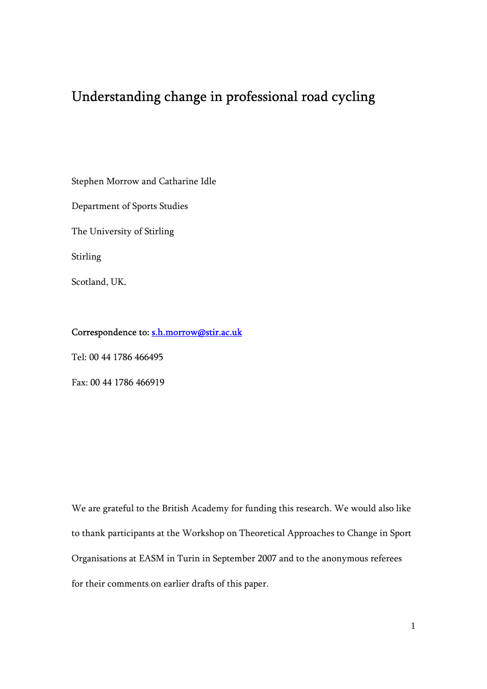# Understanding change in professional road cycling

Stephen Morrow and Catharine Idle

Department of Sports Studies

The University of Stirling

Stirling

Scotland, UK.

## Correspondence to: s.h.morrow@stir.ac.uk

Tel: 00 44 1786 466495

Fax: 00 44 1786 466919

We are grateful to the British Academy for funding this research. We would also like to thank participants at the Workshop on Theoretical Approaches to Change in Sport Organisations at EASM in Turin in September 2007 and to the anonymous referees for their comments on earlier drafts of this paper.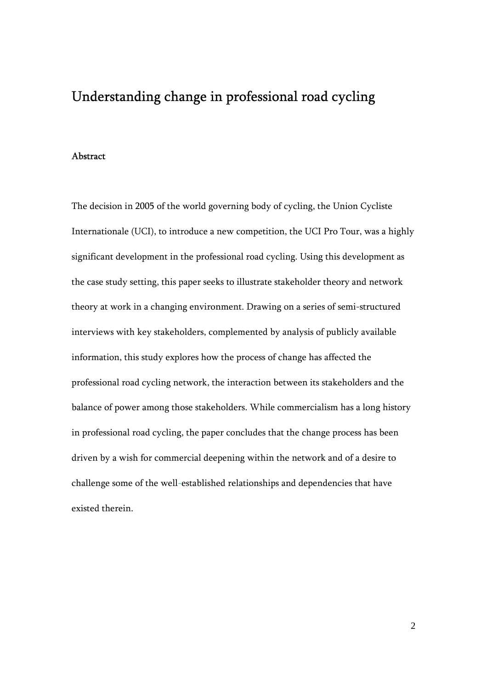## Understanding change in professional road cycling

## Abstract

The decision in 2005 of the world governing body of cycling, the Union Cycliste Internationale (UCI), to introduce a new competition, the UCI Pro Tour, was a highly significant development in the professional road cycling. Using this development as the case study setting, this paper seeks to illustrate stakeholder theory and network theory at work in a changing environment. Drawing on a series of semi-structured interviews with key stakeholders, complemented by analysis of publicly available information, this study explores how the process of change has affected the professional road cycling network, the interaction between its stakeholders and the balance of power among those stakeholders. While commercialism has a long history in professional road cycling, the paper concludes that the change process has been driven by a wish for commercial deepening within the network and of a desire to challenge some of the well-established relationships and dependencies that have existed therein.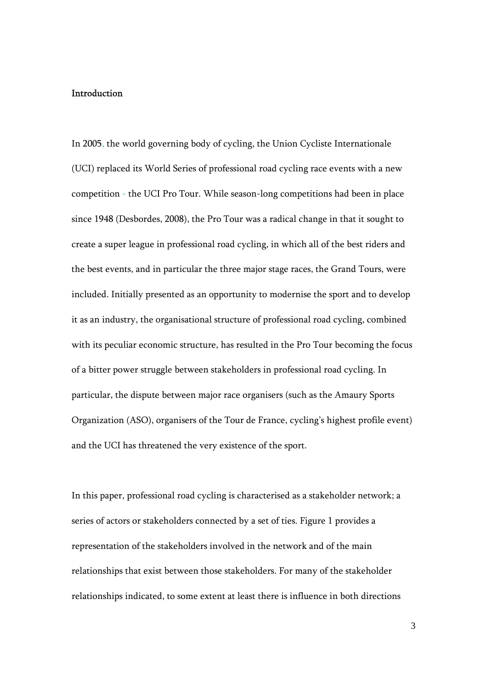#### Introduction

In 2005, the world governing body of cycling, the Union Cycliste Internationale (UCI) replaced its World Series of professional road cycling race events with a new competition - the UCI Pro Tour. While season-long competitions had been in place since 1948 (Desbordes, 2008), the Pro Tour was a radical change in that it sought to create a super league in professional road cycling, in which all of the best riders and the best events, and in particular the three major stage races, the Grand Tours, were included. Initially presented as an opportunity to modernise the sport and to develop it as an industry, the organisational structure of professional road cycling, combined with its peculiar economic structure, has resulted in the Pro Tour becoming the focus of a bitter power struggle between stakeholders in professional road cycling. In particular, the dispute between major race organisers (such as the Amaury Sports Organization (ASO), organisers of the Tour de France, cycling's highest profile event) and the UCI has threatened the very existence of the sport.

In this paper, professional road cycling is characterised as a stakeholder network; a series of actors or stakeholders connected by a set of ties. Figure 1 provides a representation of the stakeholders involved in the network and of the main relationships that exist between those stakeholders. For many of the stakeholder relationships indicated, to some extent at least there is influence in both directions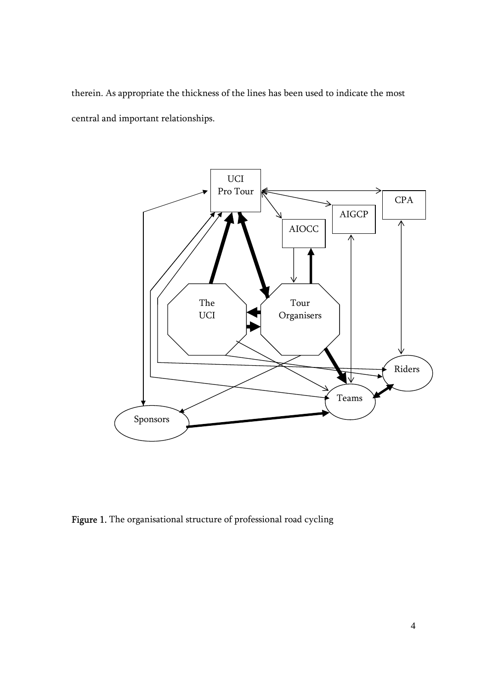therein. As appropriate the thickness of the lines has been used to indicate the most central and important relationships.



Figure 1. The organisational structure of professional road cycling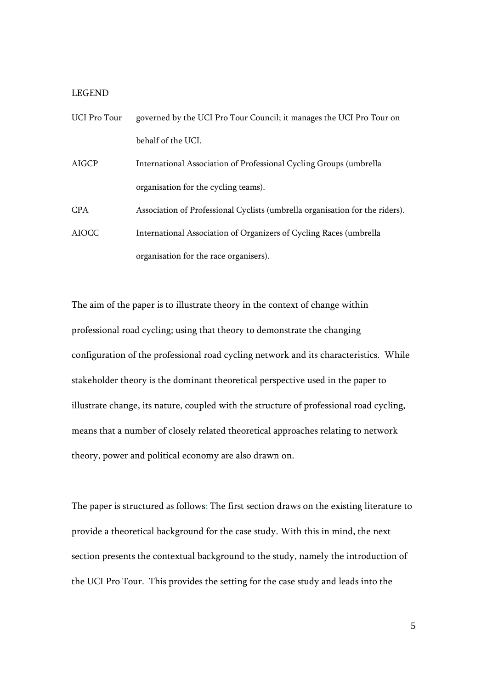#### LEGEND

| <b>UCI Pro Tour</b> | governed by the UCI Pro Tour Council; it manages the UCI Pro Tour on         |
|---------------------|------------------------------------------------------------------------------|
|                     | behalf of the UCI.                                                           |
| AIGCP               | International Association of Professional Cycling Groups (umbrella           |
|                     | organisation for the cycling teams).                                         |
| <b>CPA</b>          | Association of Professional Cyclists (umbrella organisation for the riders). |
| <b>AIOCC</b>        | International Association of Organizers of Cycling Races (umbrella)          |
|                     | organisation for the race organisers).                                       |

The aim of the paper is to illustrate theory in the context of change within professional road cycling; using that theory to demonstrate the changing configuration of the professional road cycling network and its characteristics. While stakeholder theory is the dominant theoretical perspective used in the paper to illustrate change, its nature, coupled with the structure of professional road cycling, means that a number of closely related theoretical approaches relating to network theory, power and political economy are also drawn on.

The paper is structured as follows: The first section draws on the existing literature to provide a theoretical background for the case study. With this in mind, the next section presents the contextual background to the study, namely the introduction of the UCI Pro Tour. This provides the setting for the case study and leads into the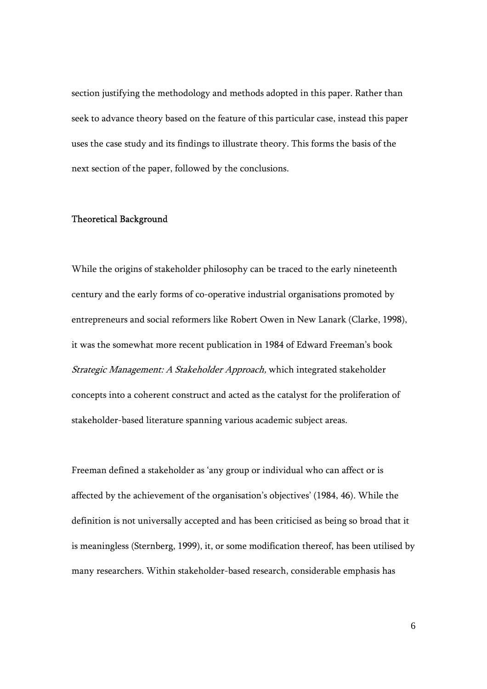section justifying the methodology and methods adopted in this paper. Rather than seek to advance theory based on the feature of this particular case, instead this paper uses the case study and its findings to illustrate theory. This forms the basis of the next section of the paper, followed by the conclusions.

#### Theoretical Background

While the origins of stakeholder philosophy can be traced to the early nineteenth century and the early forms of co-operative industrial organisations promoted by entrepreneurs and social reformers like Robert Owen in New Lanark (Clarke, 1998), it was the somewhat more recent publication in 1984 of Edward Freeman's book Strategic Management: A Stakeholder Approach, which integrated stakeholder concepts into a coherent construct and acted as the catalyst for the proliferation of stakeholder-based literature spanning various academic subject areas.

Freeman defined a stakeholder as 'any group or individual who can affect or is affected by the achievement of the organisation's objectives' (1984, 46). While the definition is not universally accepted and has been criticised as being so broad that it is meaningless (Sternberg, 1999), it, or some modification thereof, has been utilised by many researchers. Within stakeholder-based research, considerable emphasis has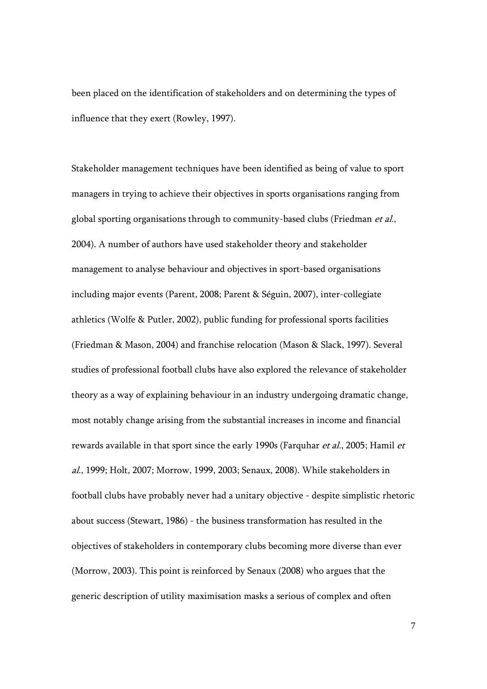been placed on the identification of stakeholders and on determining the types of influence that they exert (Rowley, 1997).

Stakeholder management techniques have been identified as being of value to sport managers in trying to achieve their objectives in sports organisations ranging from global sporting organisations through to community-based clubs (Friedman et al., 2004). A number of authors have used stakeholder theory and stakeholder management to analyse behaviour and objectives in sport-based organisations including major events (Parent, 2008; Parent & Séguin, 2007), inter-collegiate athletics (Wolfe & Putler, 2002), public funding for professional sports facilities (Friedman & Mason, 2004) and franchise relocation (Mason & Slack, 1997). Several studies of professional football clubs have also explored the relevance of stakeholder theory as a way of explaining behaviour in an industry undergoing dramatic change, most notably change arising from the substantial increases in income and financial rewards available in that sport since the early 1990s (Farquhar et al., 2005; Hamil et al., 1999; Holt, 2007; Morrow, 1999, 2003; Senaux, 2008). While stakeholders in football clubs have probably never had a unitary objective - despite simplistic rhetoric about success (Stewart, 1986) - the business transformation has resulted in the objectives of stakeholders in contemporary clubs becoming more diverse than ever (Morrow, 2003). This point is reinforced by Senaux (2008) who argues that the generic description of utility maximisation masks a serious of complex and often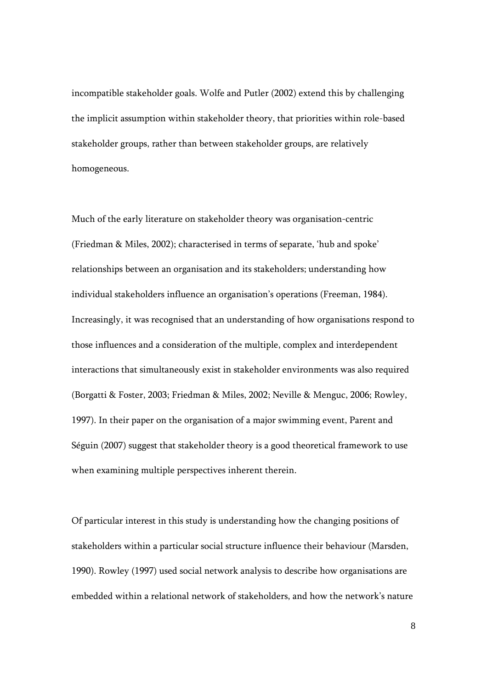incompatible stakeholder goals. Wolfe and Putler (2002) extend this by challenging the implicit assumption within stakeholder theory, that priorities within role-based stakeholder groups, rather than between stakeholder groups, are relatively homogeneous.

Much of the early literature on stakeholder theory was organisation-centric (Friedman & Miles, 2002); characterised in terms of separate, 'hub and spoke' relationships between an organisation and its stakeholders; understanding how individual stakeholders influence an organisation's operations (Freeman, 1984). Increasingly, it was recognised that an understanding of how organisations respond to those influences and a consideration of the multiple, complex and interdependent interactions that simultaneously exist in stakeholder environments was also required (Borgatti & Foster, 2003; Friedman & Miles, 2002; Neville & Menguc, 2006; Rowley, 1997). In their paper on the organisation of a major swimming event, Parent and Séguin (2007) suggest that stakeholder theory is a good theoretical framework to use when examining multiple perspectives inherent therein.

Of particular interest in this study is understanding how the changing positions of stakeholders within a particular social structure influence their behaviour (Marsden, 1990). Rowley (1997) used social network analysis to describe how organisations are embedded within a relational network of stakeholders, and how the network's nature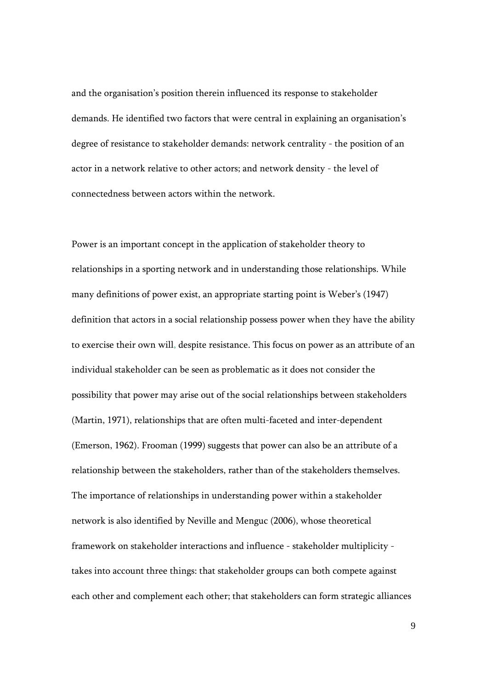and the organisation's position therein influenced its response to stakeholder demands. He identified two factors that were central in explaining an organisation's degree of resistance to stakeholder demands: network centrality - the position of an actor in a network relative to other actors; and network density - the level of connectedness between actors within the network.

Power is an important concept in the application of stakeholder theory to relationships in a sporting network and in understanding those relationships. While many definitions of power exist, an appropriate starting point is Weber's (1947) definition that actors in a social relationship possess power when they have the ability to exercise their own will, despite resistance. This focus on power as an attribute of an individual stakeholder can be seen as problematic as it does not consider the possibility that power may arise out of the social relationships between stakeholders (Martin, 1971), relationships that are often multi-faceted and inter-dependent (Emerson, 1962). Frooman (1999) suggests that power can also be an attribute of a relationship between the stakeholders, rather than of the stakeholders themselves. The importance of relationships in understanding power within a stakeholder network is also identified by Neville and Menguc (2006), whose theoretical framework on stakeholder interactions and influence - stakeholder multiplicity takes into account three things: that stakeholder groups can both compete against each other and complement each other; that stakeholders can form strategic alliances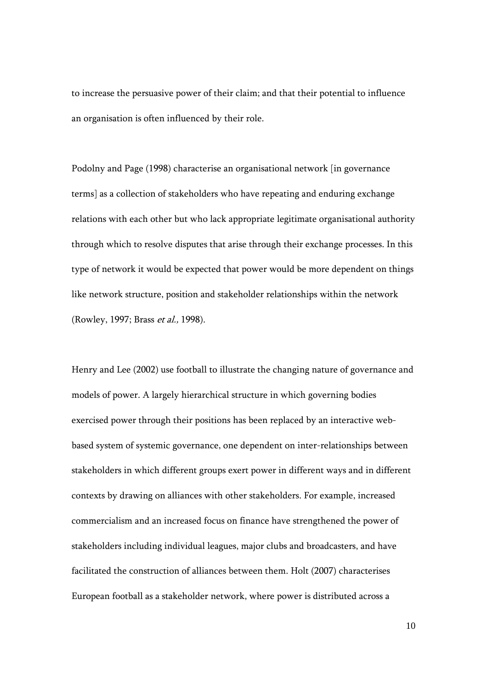to increase the persuasive power of their claim; and that their potential to influence an organisation is often influenced by their role.

Podolny and Page (1998) characterise an organisational network [in governance terms] as a collection of stakeholders who have repeating and enduring exchange relations with each other but who lack appropriate legitimate organisational authority through which to resolve disputes that arise through their exchange processes. In this type of network it would be expected that power would be more dependent on things like network structure, position and stakeholder relationships within the network (Rowley, 1997; Brass et al., 1998).

Henry and Lee (2002) use football to illustrate the changing nature of governance and models of power. A largely hierarchical structure in which governing bodies exercised power through their positions has been replaced by an interactive webbased system of systemic governance, one dependent on inter-relationships between stakeholders in which different groups exert power in different ways and in different contexts by drawing on alliances with other stakeholders. For example, increased commercialism and an increased focus on finance have strengthened the power of stakeholders including individual leagues, major clubs and broadcasters, and have facilitated the construction of alliances between them. Holt (2007) characterises European football as a stakeholder network, where power is distributed across a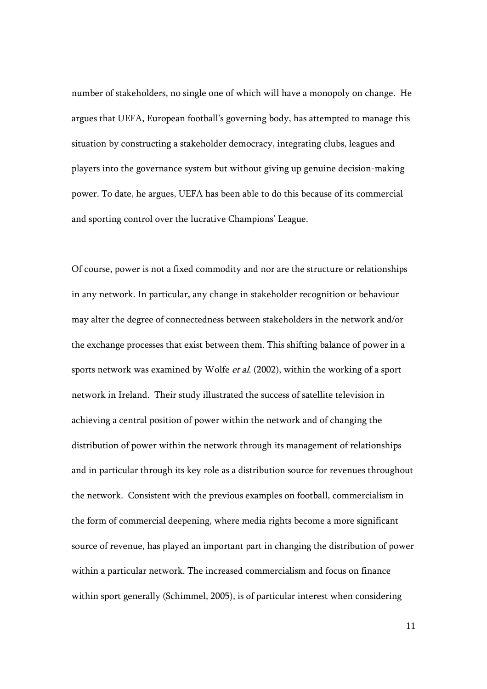number of stakeholders, no single one of which will have a monopoly on change. He argues that UEFA, European football's governing body, has attempted to manage this situation by constructing a stakeholder democracy, integrating clubs, leagues and players into the governance system but without giving up genuine decision-making power. To date, he argues, UEFA has been able to do this because of its commercial and sporting control over the lucrative Champions' League.

Of course, power is not a fixed commodity and nor are the structure or relationships in any network. In particular, any change in stakeholder recognition or behaviour may alter the degree of connectedness between stakeholders in the network and/or the exchange processes that exist between them. This shifting balance of power in a sports network was examined by Wolfe *et al.* (2002), within the working of a sport network in Ireland. Their study illustrated the success of satellite television in achieving a central position of power within the network and of changing the distribution of power within the network through its management of relationships and in particular through its key role as a distribution source for revenues throughout the network. Consistent with the previous examples on football, commercialism in the form of commercial deepening, where media rights become a more significant source of revenue, has played an important part in changing the distribution of power within a particular network. The increased commercialism and focus on finance within sport generally (Schimmel, 2005), is of particular interest when considering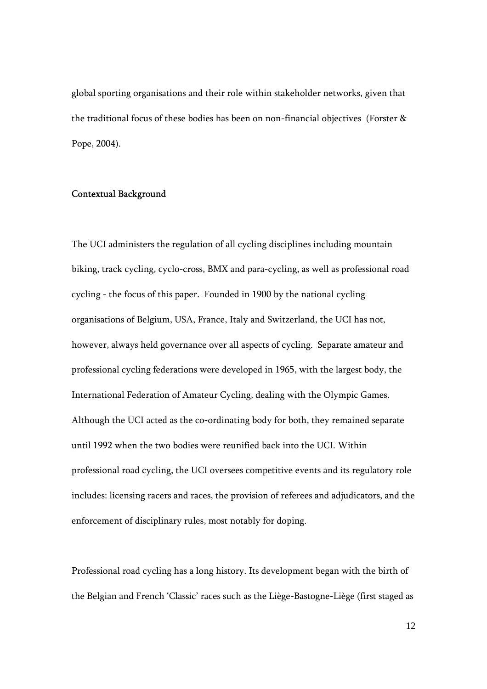global sporting organisations and their role within stakeholder networks, given that the traditional focus of these bodies has been on non-financial objectives (Forster & Pope, 2004).

## Contextual Background

The UCI administers the regulation of all cycling disciplines including mountain biking, track cycling, cyclo-cross, BMX and para-cycling, as well as professional road cycling - the focus of this paper. Founded in 1900 by the national cycling organisations of Belgium, USA, France, Italy and Switzerland, the UCI has not, however, always held governance over all aspects of cycling. Separate amateur and professional cycling federations were developed in 1965, with the largest body, the International Federation of Amateur Cycling, dealing with the Olympic Games. Although the UCI acted as the co-ordinating body for both, they remained separate until 1992 when the two bodies were reunified back into the UCI. Within professional road cycling, the UCI oversees competitive events and its regulatory role includes: licensing racers and races, the provision of referees and adjudicators, and the enforcement of disciplinary rules, most notably for doping.

Professional road cycling has a long history. Its development began with the birth of the Belgian and French 'Classic' races such as the Liège-Bastogne-Liège (first staged as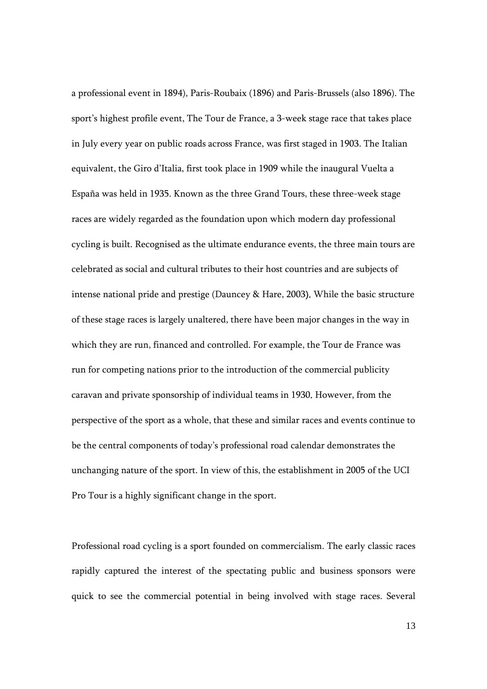a professional event in 1894), Paris-Roubaix (1896) and Paris-Brussels (also 1896). The sport's highest profile event, The Tour de France, a 3-week stage race that takes place in July every year on public roads across France, was first staged in 1903. The Italian equivalent, the Giro d'Italia, first took place in 1909 while the inaugural Vuelta a España was held in 1935. Known as the three Grand Tours, these three-week stage races are widely regarded as the foundation upon which modern day professional cycling is built. Recognised as the ultimate endurance events, the three main tours are celebrated as social and cultural tributes to their host countries and are subjects of intense national pride and prestige (Dauncey & Hare, 2003). While the basic structure of these stage races is largely unaltered, there have been major changes in the way in which they are run, financed and controlled. For example, the Tour de France was run for competing nations prior to the introduction of the commercial publicity caravan and private sponsorship of individual teams in 1930. However, from the perspective of the sport as a whole, that these and similar races and events continue to be the central components of today's professional road calendar demonstrates the unchanging nature of the sport. In view of this, the establishment in 2005 of the UCI Pro Tour is a highly significant change in the sport.

Professional road cycling is a sport founded on commercialism. The early classic races rapidly captured the interest of the spectating public and business sponsors were quick to see the commercial potential in being involved with stage races. Several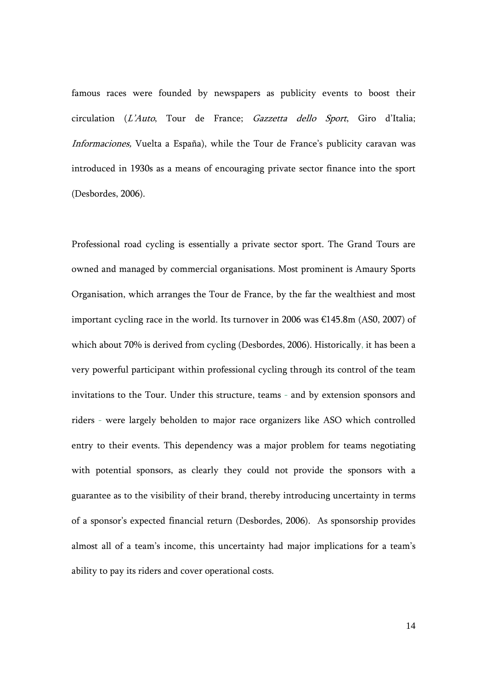famous races were founded by newspapers as publicity events to boost their circulation (L'Auto, Tour de France; Gazzetta dello Sport, Giro d'Italia; Informaciones, Vuelta a España), while the Tour de France's publicity caravan was introduced in 1930s as a means of encouraging private sector finance into the sport (Desbordes, 2006).

Professional road cycling is essentially a private sector sport. The Grand Tours are owned and managed by commercial organisations. Most prominent is Amaury Sports Organisation, which arranges the Tour de France, by the far the wealthiest and most important cycling race in the world. Its turnover in 2006 was €145.8m (AS0, 2007) of which about 70% is derived from cycling (Desbordes, 2006). Historically, it has been a very powerful participant within professional cycling through its control of the team invitations to the Tour. Under this structure, teams - and by extension sponsors and riders - were largely beholden to major race organizers like ASO which controlled entry to their events. This dependency was a major problem for teams negotiating with potential sponsors, as clearly they could not provide the sponsors with a guarantee as to the visibility of their brand, thereby introducing uncertainty in terms of a sponsor's expected financial return (Desbordes, 2006). As sponsorship provides almost all of a team's income, this uncertainty had major implications for a team's ability to pay its riders and cover operational costs.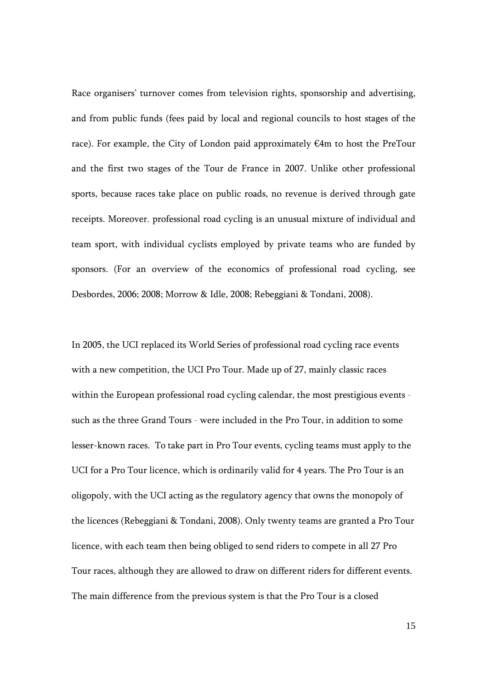Race organisers' turnover comes from television rights, sponsorship and advertising, and from public funds (fees paid by local and regional councils to host stages of the race). For example, the City of London paid approximately €4m to host the PreTour and the first two stages of the Tour de France in 2007. Unlike other professional sports, because races take place on public roads, no revenue is derived through gate receipts. Moreover, professional road cycling is an unusual mixture of individual and team sport, with individual cyclists employed by private teams who are funded by sponsors. (For an overview of the economics of professional road cycling, see Desbordes, 2006; 2008; Morrow & Idle, 2008; Rebeggiani & Tondani, 2008).

In 2005, the UCI replaced its World Series of professional road cycling race events with a new competition, the UCI Pro Tour. Made up of 27, mainly classic races within the European professional road cycling calendar, the most prestigious events such as the three Grand Tours - were included in the Pro Tour, in addition to some lesser-known races. To take part in Pro Tour events, cycling teams must apply to the UCI for a Pro Tour licence, which is ordinarily valid for 4 years. The Pro Tour is an oligopoly, with the UCI acting as the regulatory agency that owns the monopoly of the licences (Rebeggiani & Tondani, 2008). Only twenty teams are granted a Pro Tour licence, with each team then being obliged to send riders to compete in all 27 Pro Tour races, although they are allowed to draw on different riders for different events. The main difference from the previous system is that the Pro Tour is a closed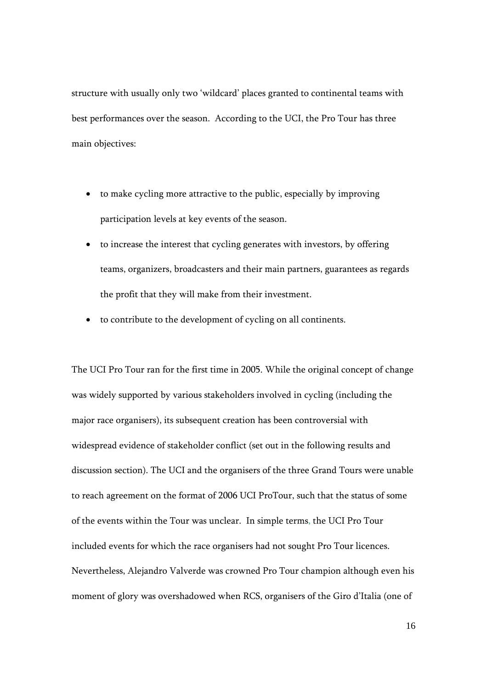structure with usually only two 'wildcard' places granted to continental teams with best performances over the season. According to the UCI, the Pro Tour has three main objectives:

- to make cycling more attractive to the public, especially by improving participation levels at key events of the season.
- to increase the interest that cycling generates with investors, by offering teams, organizers, broadcasters and their main partners, guarantees as regards the profit that they will make from their investment.
- to contribute to the development of cycling on all continents.

The UCI Pro Tour ran for the first time in 2005. While the original concept of change was widely supported by various stakeholders involved in cycling (including the major race organisers), its subsequent creation has been controversial with widespread evidence of stakeholder conflict (set out in the following results and discussion section). The UCI and the organisers of the three Grand Tours were unable to reach agreement on the format of 2006 UCI ProTour, such that the status of some of the events within the Tour was unclear. In simple terms, the UCI Pro Tour included events for which the race organisers had not sought Pro Tour licences. Nevertheless, Alejandro Valverde was crowned Pro Tour champion although even his moment of glory was overshadowed when RCS, organisers of the Giro d'Italia (one of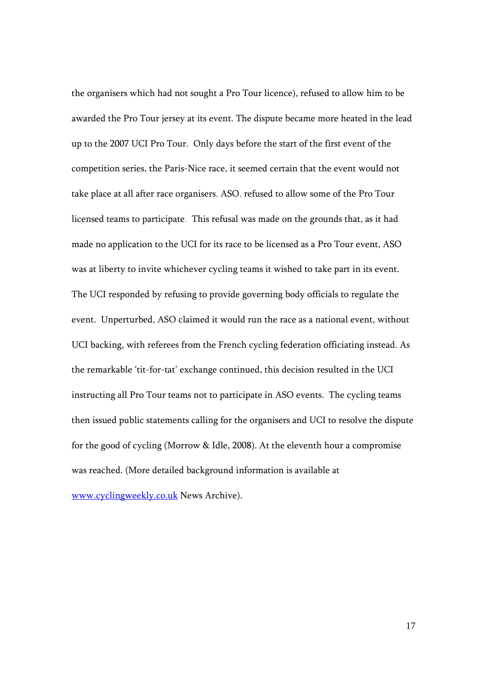the organisers which had not sought a Pro Tour licence), refused to allow him to be awarded the Pro Tour jersey at its event. The dispute became more heated in the lead up to the 2007 UCI Pro Tour. Only days before the start of the first event of the competition series, the Paris-Nice race, it seemed certain that the event would not take place at all after race organisers, ASO, refused to allow some of the Pro Tour licensed teams to participate. This refusal was made on the grounds that, as it had made no application to the UCI for its race to be licensed as a Pro Tour event, ASO was at liberty to invite whichever cycling teams it wished to take part in its event. The UCI responded by refusing to provide governing body officials to regulate the event. Unperturbed, ASO claimed it would run the race as a national event, without UCI backing, with referees from the French cycling federation officiating instead. As the remarkable 'tit-for-tat' exchange continued, this decision resulted in the UCI instructing all Pro Tour teams not to participate in ASO events. The cycling teams then issued public statements calling for the organisers and UCI to resolve the dispute for the good of cycling (Morrow & Idle, 2008). At the eleventh hour a compromise was reached. (More detailed background information is available at www.cyclingweekly.co.uk News Archive).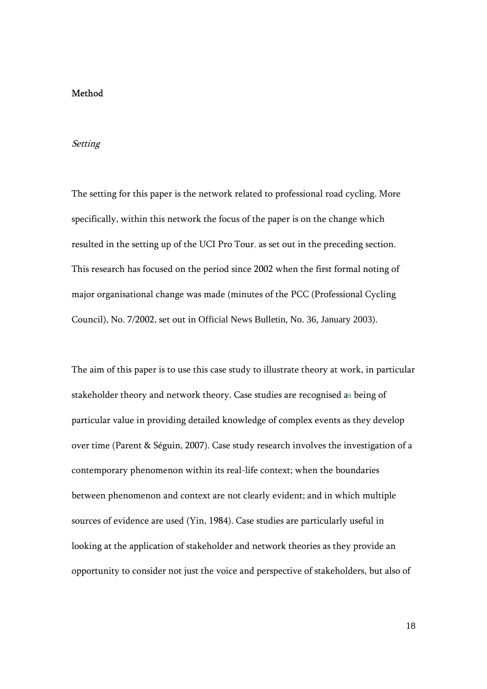#### Method

#### Setting

The setting for this paper is the network related to professional road cycling. More specifically, within this network the focus of the paper is on the change which resulted in the setting up of the UCI Pro Tour, as set out in the preceding section. This research has focused on the period since 2002 when the first formal noting of major organisational change was made (minutes of the PCC (Professional Cycling Council), No. 7/2002, set out in Official News Bulletin, No. 36, January 2003).

The aim of this paper is to use this case study to illustrate theory at work, in particular stakeholder theory and network theory. Case studies are recognised as being of particular value in providing detailed knowledge of complex events as they develop over time (Parent & Séguin, 2007). Case study research involves the investigation of a contemporary phenomenon within its real-life context; when the boundaries between phenomenon and context are not clearly evident; and in which multiple sources of evidence are used (Yin, 1984). Case studies are particularly useful in looking at the application of stakeholder and network theories as they provide an opportunity to consider not just the voice and perspective of stakeholders, but also of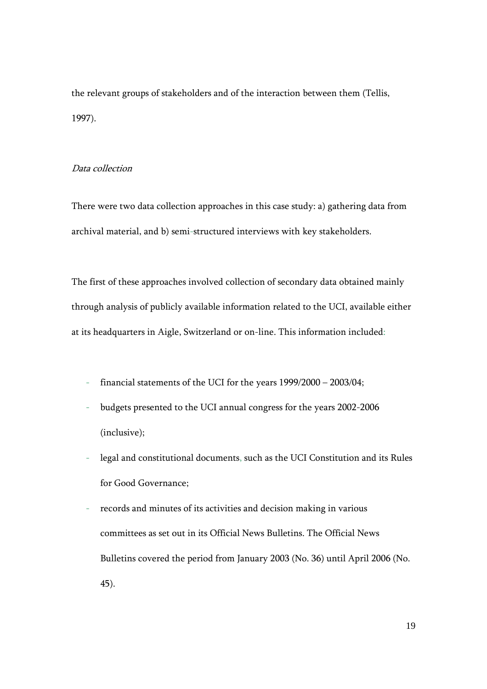the relevant groups of stakeholders and of the interaction between them (Tellis, 1997).

## Data collection

There were two data collection approaches in this case study: a) gathering data from archival material, and b) semi-structured interviews with key stakeholders.

The first of these approaches involved collection of secondary data obtained mainly through analysis of publicly available information related to the UCI, available either at its headquarters in Aigle, Switzerland or on-line. This information included:

- financial statements of the UCI for the years 1999/2000 2003/04;
- budgets presented to the UCI annual congress for the years 2002-2006 (inclusive);
- legal and constitutional documents, such as the UCI Constitution and its Rules for Good Governance;
- records and minutes of its activities and decision making in various committees as set out in its Official News Bulletins. The Official News Bulletins covered the period from January 2003 (No. 36) until April 2006 (No. 45).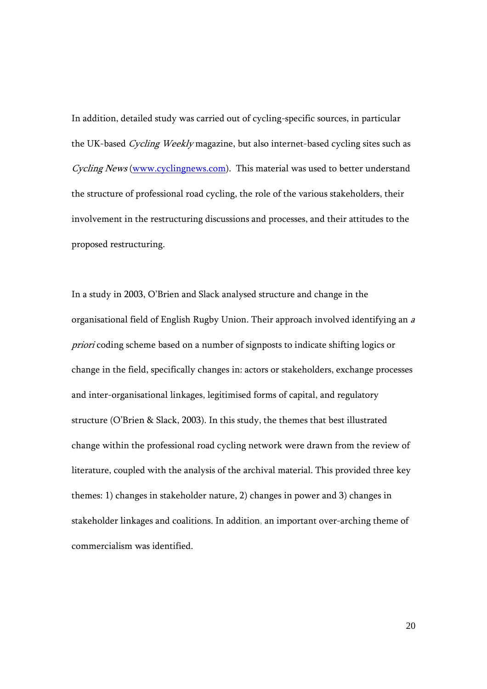In addition, detailed study was carried out of cycling-specific sources, in particular the UK-based Cycling Weekly magazine, but also internet-based cycling sites such as Cycling News (www.cyclingnews.com). This material was used to better understand the structure of professional road cycling, the role of the various stakeholders, their involvement in the restructuring discussions and processes, and their attitudes to the proposed restructuring.

In a study in 2003, O'Brien and Slack analysed structure and change in the organisational field of English Rugby Union. Their approach involved identifying an <sup>a</sup> priori coding scheme based on a number of signposts to indicate shifting logics or change in the field, specifically changes in: actors or stakeholders, exchange processes and inter-organisational linkages, legitimised forms of capital, and regulatory structure (O'Brien & Slack, 2003). In this study, the themes that best illustrated change within the professional road cycling network were drawn from the review of literature, coupled with the analysis of the archival material. This provided three key themes: 1) changes in stakeholder nature, 2) changes in power and 3) changes in stakeholder linkages and coalitions. In addition, an important over-arching theme of commercialism was identified.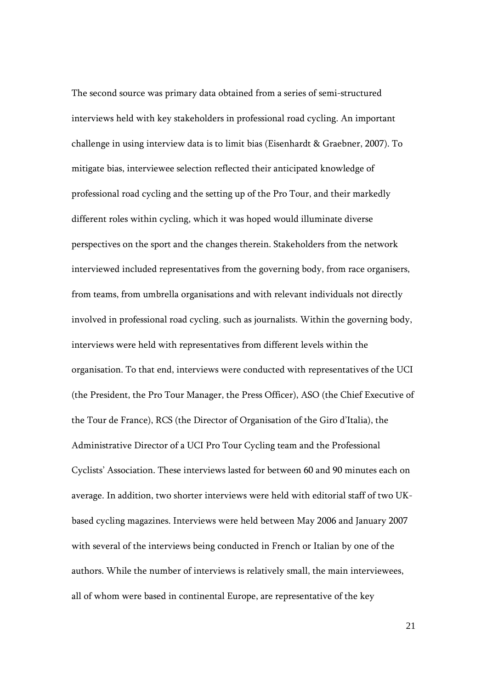The second source was primary data obtained from a series of semi-structured interviews held with key stakeholders in professional road cycling. An important challenge in using interview data is to limit bias (Eisenhardt & Graebner, 2007). To mitigate bias, interviewee selection reflected their anticipated knowledge of professional road cycling and the setting up of the Pro Tour, and their markedly different roles within cycling, which it was hoped would illuminate diverse perspectives on the sport and the changes therein. Stakeholders from the network interviewed included representatives from the governing body, from race organisers, from teams, from umbrella organisations and with relevant individuals not directly involved in professional road cycling, such as journalists. Within the governing body, interviews were held with representatives from different levels within the organisation. To that end, interviews were conducted with representatives of the UCI (the President, the Pro Tour Manager, the Press Officer), ASO (the Chief Executive of the Tour de France), RCS (the Director of Organisation of the Giro d'Italia), the Administrative Director of a UCI Pro Tour Cycling team and the Professional Cyclists' Association. These interviews lasted for between 60 and 90 minutes each on average. In addition, two shorter interviews were held with editorial staff of two UKbased cycling magazines. Interviews were held between May 2006 and January 2007 with several of the interviews being conducted in French or Italian by one of the authors. While the number of interviews is relatively small, the main interviewees, all of whom were based in continental Europe, are representative of the key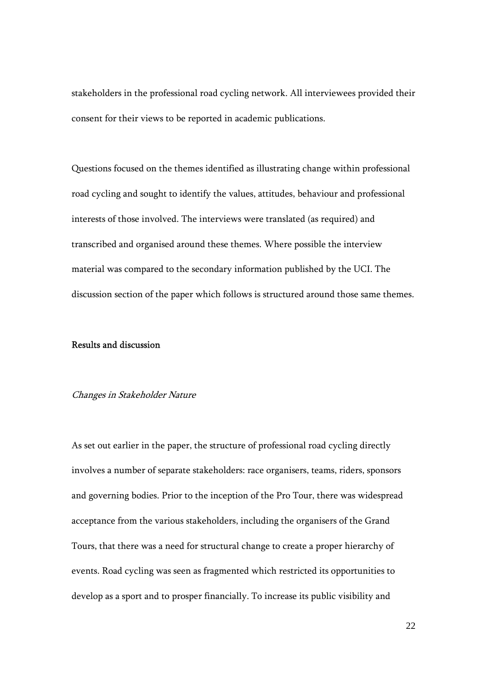stakeholders in the professional road cycling network. All interviewees provided their consent for their views to be reported in academic publications.

Questions focused on the themes identified as illustrating change within professional road cycling and sought to identify the values, attitudes, behaviour and professional interests of those involved. The interviews were translated (as required) and transcribed and organised around these themes. Where possible the interview material was compared to the secondary information published by the UCI. The discussion section of the paper which follows is structured around those same themes.

## Results and discussion

#### Changes in Stakeholder Nature

As set out earlier in the paper, the structure of professional road cycling directly involves a number of separate stakeholders: race organisers, teams, riders, sponsors and governing bodies. Prior to the inception of the Pro Tour, there was widespread acceptance from the various stakeholders, including the organisers of the Grand Tours, that there was a need for structural change to create a proper hierarchy of events. Road cycling was seen as fragmented which restricted its opportunities to develop as a sport and to prosper financially. To increase its public visibility and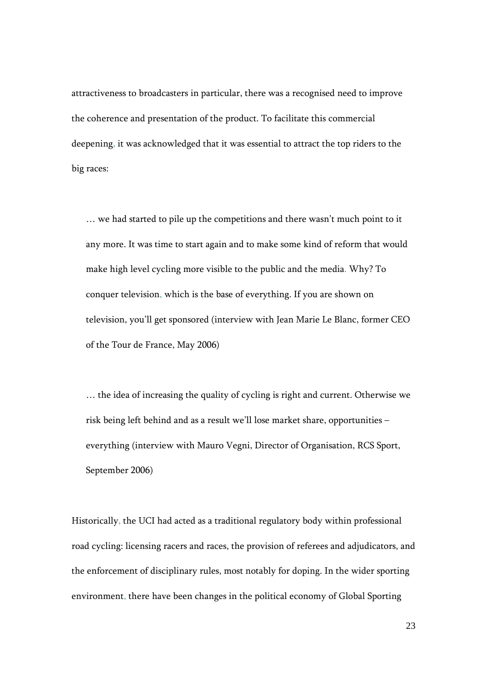attractiveness to broadcasters in particular, there was a recognised need to improve the coherence and presentation of the product. To facilitate this commercial deepening, it was acknowledged that it was essential to attract the top riders to the big races:

… we had started to pile up the competitions and there wasn't much point to it any more. It was time to start again and to make some kind of reform that would make high level cycling more visible to the public and the media. Why? To conquer television, which is the base of everything. If you are shown on television, you'll get sponsored (interview with Jean Marie Le Blanc, former CEO of the Tour de France, May 2006)

… the idea of increasing the quality of cycling is right and current. Otherwise we risk being left behind and as a result we'll lose market share, opportunities – everything (interview with Mauro Vegni, Director of Organisation, RCS Sport, September 2006)

Historically, the UCI had acted as a traditional regulatory body within professional road cycling: licensing racers and races, the provision of referees and adjudicators, and the enforcement of disciplinary rules, most notably for doping. In the wider sporting environment, there have been changes in the political economy of Global Sporting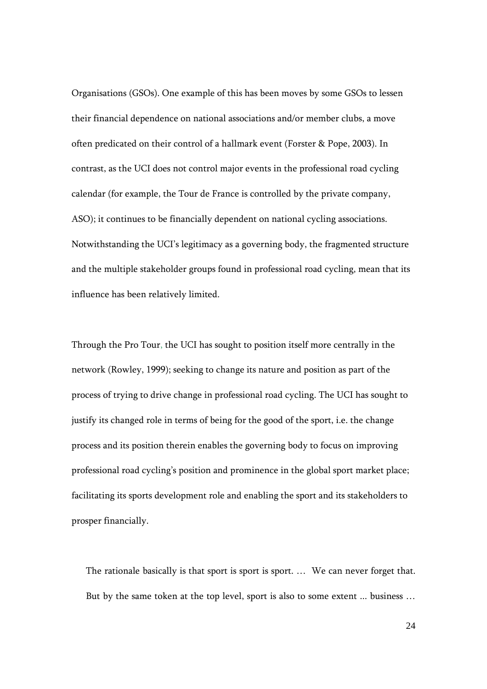Organisations (GSOs). One example of this has been moves by some GSOs to lessen their financial dependence on national associations and/or member clubs, a move often predicated on their control of a hallmark event (Forster & Pope, 2003). In contrast, as the UCI does not control major events in the professional road cycling calendar (for example, the Tour de France is controlled by the private company, ASO); it continues to be financially dependent on national cycling associations. Notwithstanding the UCI's legitimacy as a governing body, the fragmented structure and the multiple stakeholder groups found in professional road cycling, mean that its influence has been relatively limited.

Through the Pro Tour, the UCI has sought to position itself more centrally in the network (Rowley, 1999); seeking to change its nature and position as part of the process of trying to drive change in professional road cycling. The UCI has sought to justify its changed role in terms of being for the good of the sport, i.e. the change process and its position therein enables the governing body to focus on improving professional road cycling's position and prominence in the global sport market place; facilitating its sports development role and enabling the sport and its stakeholders to prosper financially.

The rationale basically is that sport is sport is sport. … We can never forget that. But by the same token at the top level, sport is also to some extent ... business …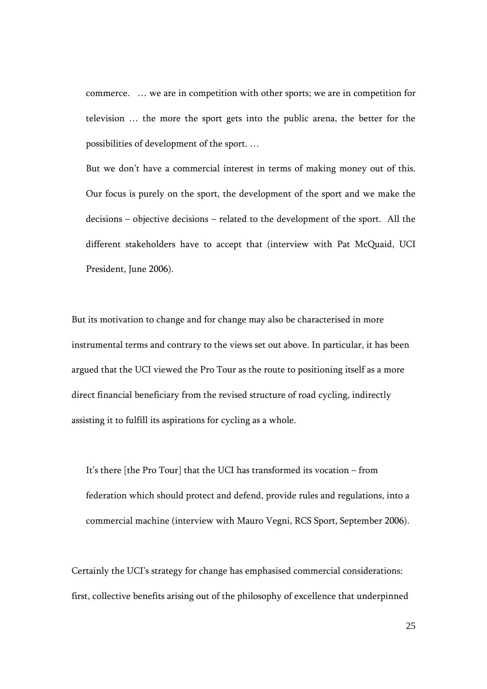commerce. … we are in competition with other sports; we are in competition for television … the more the sport gets into the public arena, the better for the possibilities of development of the sport. …

But we don't have a commercial interest in terms of making money out of this. Our focus is purely on the sport, the development of the sport and we make the decisions – objective decisions – related to the development of the sport. All the different stakeholders have to accept that (interview with Pat McQuaid, UCI President, June 2006).

But its motivation to change and for change may also be characterised in more instrumental terms and contrary to the views set out above. In particular, it has been argued that the UCI viewed the Pro Tour as the route to positioning itself as a more direct financial beneficiary from the revised structure of road cycling, indirectly assisting it to fulfill its aspirations for cycling as a whole.

It's there [the Pro Tour] that the UCI has transformed its vocation – from federation which should protect and defend, provide rules and regulations, into a commercial machine (interview with Mauro Vegni, RCS Sport, September 2006).

Certainly the UCI's strategy for change has emphasised commercial considerations: first, collective benefits arising out of the philosophy of excellence that underpinned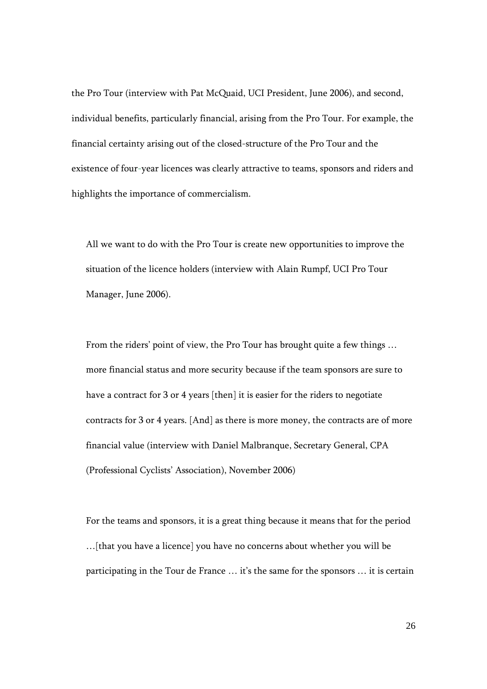the Pro Tour (interview with Pat McQuaid, UCI President, June 2006), and second, individual benefits, particularly financial, arising from the Pro Tour. For example, the financial certainty arising out of the closed-structure of the Pro Tour and the existence of four-year licences was clearly attractive to teams, sponsors and riders and highlights the importance of commercialism.

All we want to do with the Pro Tour is create new opportunities to improve the situation of the licence holders (interview with Alain Rumpf, UCI Pro Tour Manager, June 2006).

From the riders' point of view, the Pro Tour has brought quite a few things … more financial status and more security because if the team sponsors are sure to have a contract for 3 or 4 years [then] it is easier for the riders to negotiate contracts for 3 or 4 years. [And] as there is more money, the contracts are of more financial value (interview with Daniel Malbranque, Secretary General, CPA (Professional Cyclists' Association), November 2006)

For the teams and sponsors, it is a great thing because it means that for the period …[that you have a licence] you have no concerns about whether you will be participating in the Tour de France … it's the same for the sponsors … it is certain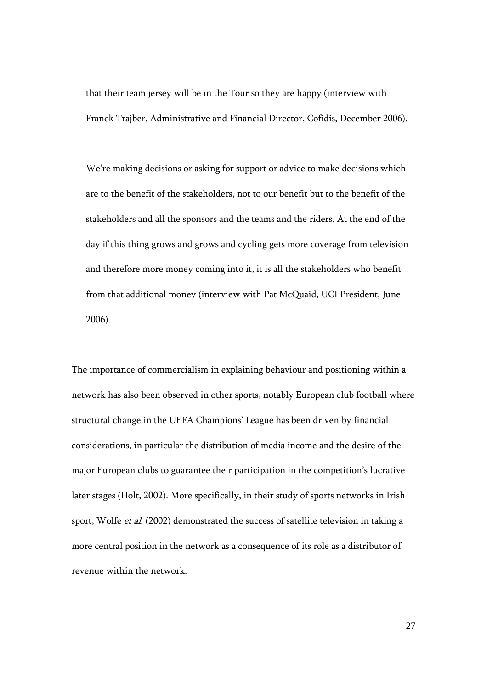that their team jersey will be in the Tour so they are happy (interview with Franck Trajber, Administrative and Financial Director, Cofidis, December 2006).

We're making decisions or asking for support or advice to make decisions which are to the benefit of the stakeholders, not to our benefit but to the benefit of the stakeholders and all the sponsors and the teams and the riders. At the end of the day if this thing grows and grows and cycling gets more coverage from television and therefore more money coming into it, it is all the stakeholders who benefit from that additional money (interview with Pat McQuaid, UCI President, June 2006).

The importance of commercialism in explaining behaviour and positioning within a network has also been observed in other sports, notably European club football where structural change in the UEFA Champions' League has been driven by financial considerations, in particular the distribution of media income and the desire of the major European clubs to guarantee their participation in the competition's lucrative later stages (Holt, 2002). More specifically, in their study of sports networks in Irish sport, Wolfe *et al.* (2002) demonstrated the success of satellite television in taking a more central position in the network as a consequence of its role as a distributor of revenue within the network.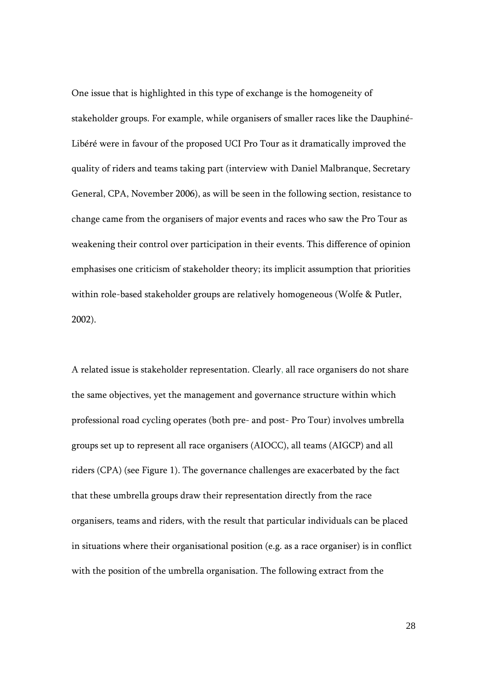One issue that is highlighted in this type of exchange is the homogeneity of stakeholder groups. For example, while organisers of smaller races like the Dauphiné-Libéré were in favour of the proposed UCI Pro Tour as it dramatically improved the quality of riders and teams taking part (interview with Daniel Malbranque, Secretary General, CPA, November 2006), as will be seen in the following section, resistance to change came from the organisers of major events and races who saw the Pro Tour as weakening their control over participation in their events. This difference of opinion emphasises one criticism of stakeholder theory; its implicit assumption that priorities within role-based stakeholder groups are relatively homogeneous (Wolfe & Putler, 2002).

A related issue is stakeholder representation. Clearly, all race organisers do not share the same objectives, yet the management and governance structure within which professional road cycling operates (both pre- and post- Pro Tour) involves umbrella groups set up to represent all race organisers (AIOCC), all teams (AIGCP) and all riders (CPA) (see Figure 1). The governance challenges are exacerbated by the fact that these umbrella groups draw their representation directly from the race organisers, teams and riders, with the result that particular individuals can be placed in situations where their organisational position (e.g. as a race organiser) is in conflict with the position of the umbrella organisation. The following extract from the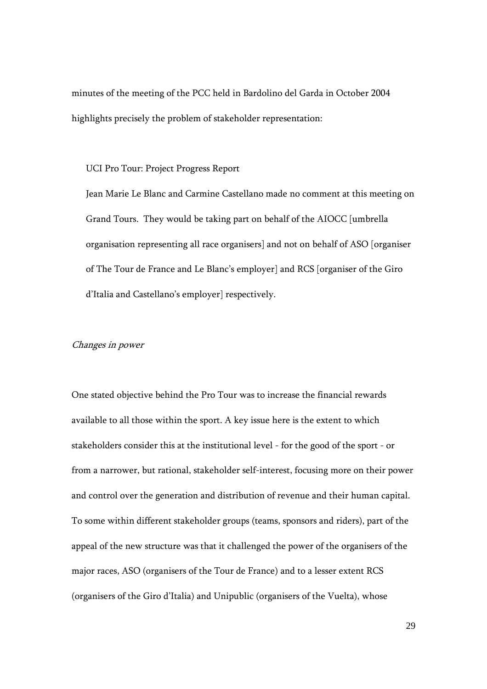minutes of the meeting of the PCC held in Bardolino del Garda in October 2004 highlights precisely the problem of stakeholder representation:

UCI Pro Tour: Project Progress Report

Jean Marie Le Blanc and Carmine Castellano made no comment at this meeting on Grand Tours. They would be taking part on behalf of the AIOCC [umbrella organisation representing all race organisers] and not on behalf of ASO [organiser of The Tour de France and Le Blanc's employer] and RCS [organiser of the Giro d'Italia and Castellano's employer] respectively.

#### Changes in power

One stated objective behind the Pro Tour was to increase the financial rewards available to all those within the sport. A key issue here is the extent to which stakeholders consider this at the institutional level - for the good of the sport - or from a narrower, but rational, stakeholder self-interest, focusing more on their power and control over the generation and distribution of revenue and their human capital. To some within different stakeholder groups (teams, sponsors and riders), part of the appeal of the new structure was that it challenged the power of the organisers of the major races, ASO (organisers of the Tour de France) and to a lesser extent RCS (organisers of the Giro d'Italia) and Unipublic (organisers of the Vuelta), whose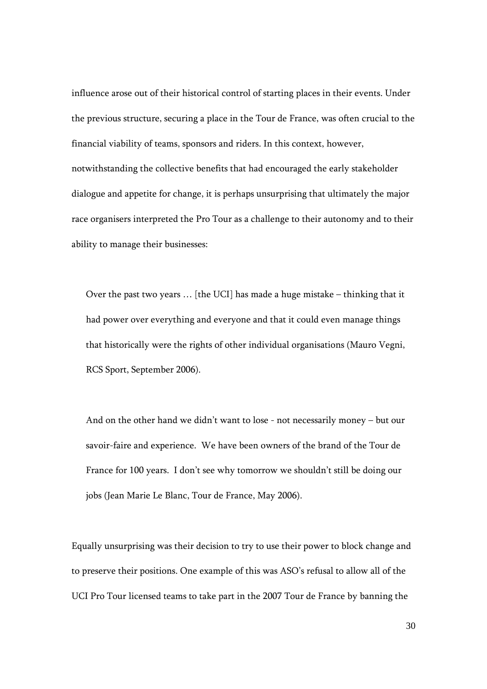influence arose out of their historical control of starting places in their events. Under the previous structure, securing a place in the Tour de France, was often crucial to the financial viability of teams, sponsors and riders. In this context, however, notwithstanding the collective benefits that had encouraged the early stakeholder dialogue and appetite for change, it is perhaps unsurprising that ultimately the major race organisers interpreted the Pro Tour as a challenge to their autonomy and to their ability to manage their businesses:

Over the past two years … [the UCI] has made a huge mistake – thinking that it had power over everything and everyone and that it could even manage things that historically were the rights of other individual organisations (Mauro Vegni, RCS Sport, September 2006).

And on the other hand we didn't want to lose - not necessarily money – but our savoir-faire and experience. We have been owners of the brand of the Tour de France for 100 years. I don't see why tomorrow we shouldn't still be doing our jobs (Jean Marie Le Blanc, Tour de France, May 2006).

Equally unsurprising was their decision to try to use their power to block change and to preserve their positions. One example of this was ASO's refusal to allow all of the UCI Pro Tour licensed teams to take part in the 2007 Tour de France by banning the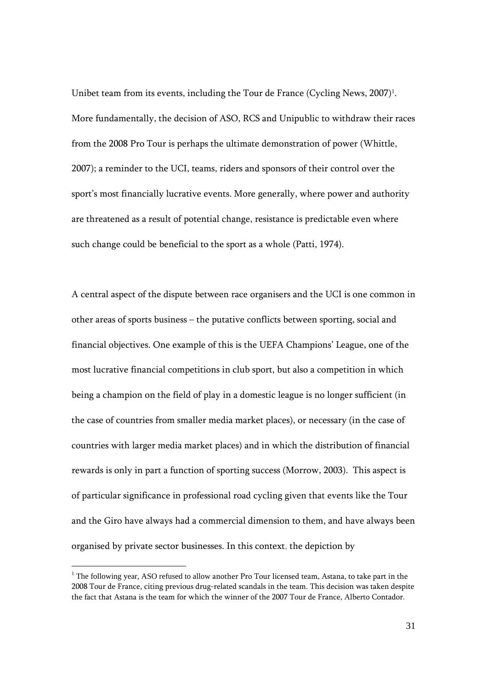Unibet team from its events, including the Tour de France (Cycling News, 2007)<sup>1</sup>. More fundamentally, the decision of ASO, RCS and Unipublic to withdraw their races from the 2008 Pro Tour is perhaps the ultimate demonstration of power (Whittle, 2007); a reminder to the UCI, teams, riders and sponsors of their control over the sport's most financially lucrative events. More generally, where power and authority are threatened as a result of potential change, resistance is predictable even where such change could be beneficial to the sport as a whole (Patti, 1974).

A central aspect of the dispute between race organisers and the UCI is one common in other areas of sports business – the putative conflicts between sporting, social and financial objectives. One example of this is the UEFA Champions' League, one of the most lucrative financial competitions in club sport, but also a competition in which being a champion on the field of play in a domestic league is no longer sufficient (in the case of countries from smaller media market places), or necessary (in the case of countries with larger media market places) and in which the distribution of financial rewards is only in part a function of sporting success (Morrow, 2003). This aspect is of particular significance in professional road cycling given that events like the Tour and the Giro have always had a commercial dimension to them, and have always been organised by private sector businesses. In this context, the depiction by

<sup>&</sup>lt;sup>1</sup> The following year, ASO refused to allow another Pro Tour licensed team, Astana, to take part in the 2008 Tour de France, citing previous drug-related scandals in the team. This decision was taken despite the fact that Astana is the team for which the winner of the 2007 Tour de France, Alberto Contador.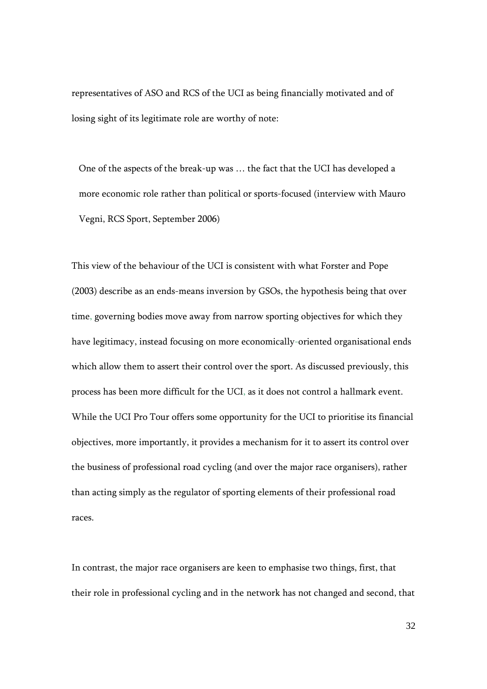representatives of ASO and RCS of the UCI as being financially motivated and of losing sight of its legitimate role are worthy of note:

One of the aspects of the break-up was … the fact that the UCI has developed a more economic role rather than political or sports-focused (interview with Mauro Vegni, RCS Sport, September 2006)

This view of the behaviour of the UCI is consistent with what Forster and Pope (2003) describe as an ends-means inversion by GSOs, the hypothesis being that over time, governing bodies move away from narrow sporting objectives for which they have legitimacy, instead focusing on more economically-oriented organisational ends which allow them to assert their control over the sport. As discussed previously, this process has been more difficult for the UCI, as it does not control a hallmark event. While the UCI Pro Tour offers some opportunity for the UCI to prioritise its financial objectives, more importantly, it provides a mechanism for it to assert its control over the business of professional road cycling (and over the major race organisers), rather than acting simply as the regulator of sporting elements of their professional road races.

In contrast, the major race organisers are keen to emphasise two things, first, that their role in professional cycling and in the network has not changed and second, that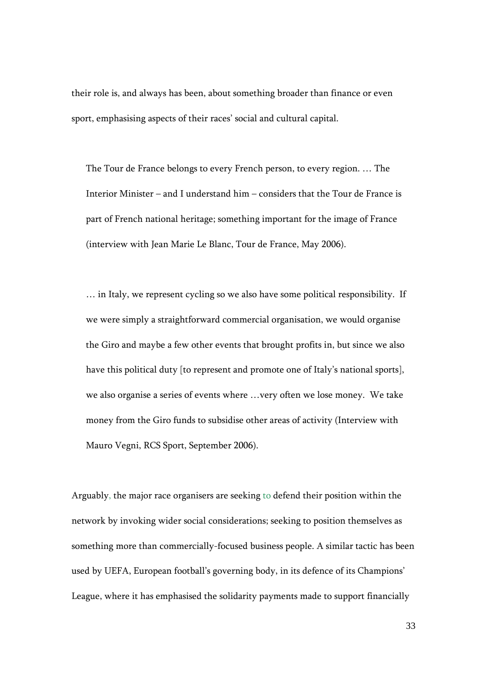their role is, and always has been, about something broader than finance or even sport, emphasising aspects of their races' social and cultural capital.

The Tour de France belongs to every French person, to every region. … The Interior Minister – and I understand him – considers that the Tour de France is part of French national heritage; something important for the image of France (interview with Jean Marie Le Blanc, Tour de France, May 2006).

… in Italy, we represent cycling so we also have some political responsibility. If we were simply a straightforward commercial organisation, we would organise the Giro and maybe a few other events that brought profits in, but since we also have this political duty [to represent and promote one of Italy's national sports], we also organise a series of events where …very often we lose money. We take money from the Giro funds to subsidise other areas of activity (Interview with Mauro Vegni, RCS Sport, September 2006).

Arguably, the major race organisers are seeking to defend their position within the network by invoking wider social considerations; seeking to position themselves as something more than commercially-focused business people. A similar tactic has been used by UEFA, European football's governing body, in its defence of its Champions' League, where it has emphasised the solidarity payments made to support financially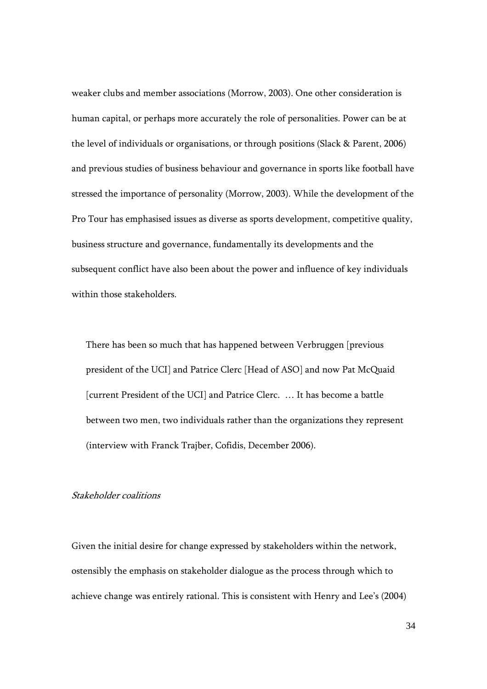weaker clubs and member associations (Morrow, 2003). One other consideration is human capital, or perhaps more accurately the role of personalities. Power can be at the level of individuals or organisations, or through positions (Slack & Parent, 2006) and previous studies of business behaviour and governance in sports like football have stressed the importance of personality (Morrow, 2003). While the development of the Pro Tour has emphasised issues as diverse as sports development, competitive quality, business structure and governance, fundamentally its developments and the subsequent conflict have also been about the power and influence of key individuals within those stakeholders.

There has been so much that has happened between Verbruggen [previous president of the UCI] and Patrice Clerc [Head of ASO] and now Pat McQuaid [current President of the UCI] and Patrice Clerc. … It has become a battle between two men, two individuals rather than the organizations they represent (interview with Franck Trajber, Cofidis, December 2006).

#### Stakeholder coalitions

Given the initial desire for change expressed by stakeholders within the network, ostensibly the emphasis on stakeholder dialogue as the process through which to achieve change was entirely rational. This is consistent with Henry and Lee's (2004)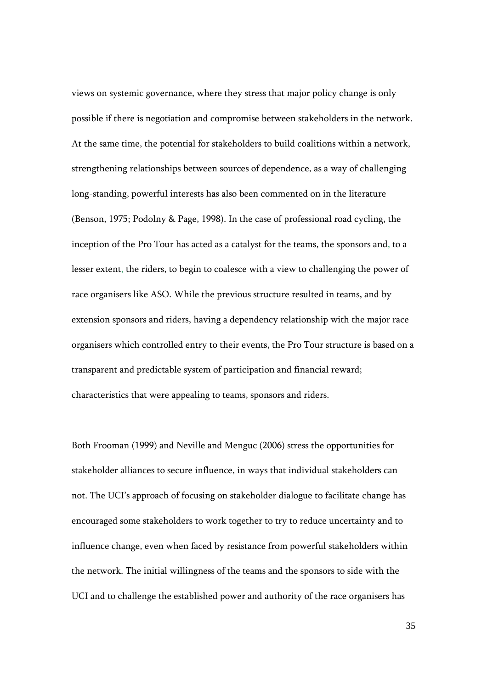views on systemic governance, where they stress that major policy change is only possible if there is negotiation and compromise between stakeholders in the network. At the same time, the potential for stakeholders to build coalitions within a network, strengthening relationships between sources of dependence, as a way of challenging long-standing, powerful interests has also been commented on in the literature (Benson, 1975; Podolny & Page, 1998). In the case of professional road cycling, the inception of the Pro Tour has acted as a catalyst for the teams, the sponsors and, to a lesser extent, the riders, to begin to coalesce with a view to challenging the power of race organisers like ASO. While the previous structure resulted in teams, and by extension sponsors and riders, having a dependency relationship with the major race organisers which controlled entry to their events, the Pro Tour structure is based on a transparent and predictable system of participation and financial reward; characteristics that were appealing to teams, sponsors and riders.

Both Frooman (1999) and Neville and Menguc (2006) stress the opportunities for stakeholder alliances to secure influence, in ways that individual stakeholders can not. The UCI's approach of focusing on stakeholder dialogue to facilitate change has encouraged some stakeholders to work together to try to reduce uncertainty and to influence change, even when faced by resistance from powerful stakeholders within the network. The initial willingness of the teams and the sponsors to side with the UCI and to challenge the established power and authority of the race organisers has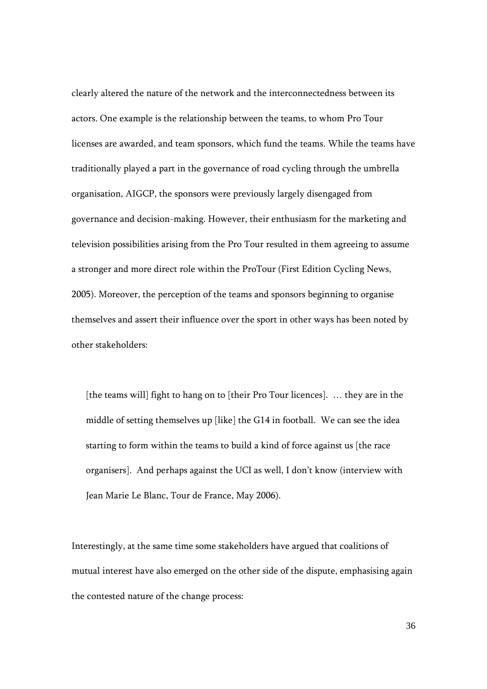clearly altered the nature of the network and the interconnectedness between its actors. One example is the relationship between the teams, to whom Pro Tour licenses are awarded, and team sponsors, which fund the teams. While the teams have traditionally played a part in the governance of road cycling through the umbrella organisation, AIGCP, the sponsors were previously largely disengaged from governance and decision-making. However, their enthusiasm for the marketing and television possibilities arising from the Pro Tour resulted in them agreeing to assume a stronger and more direct role within the ProTour (First Edition Cycling News, 2005). Moreover, the perception of the teams and sponsors beginning to organise themselves and assert their influence over the sport in other ways has been noted by other stakeholders:

[the teams will] fight to hang on to [their Pro Tour licences]. … they are in the middle of setting themselves up [like] the G14 in football. We can see the idea starting to form within the teams to build a kind of force against us [the race organisers]. And perhaps against the UCI as well, I don't know (interview with Jean Marie Le Blanc, Tour de France, May 2006).

Interestingly, at the same time some stakeholders have argued that coalitions of mutual interest have also emerged on the other side of the dispute, emphasising again the contested nature of the change process: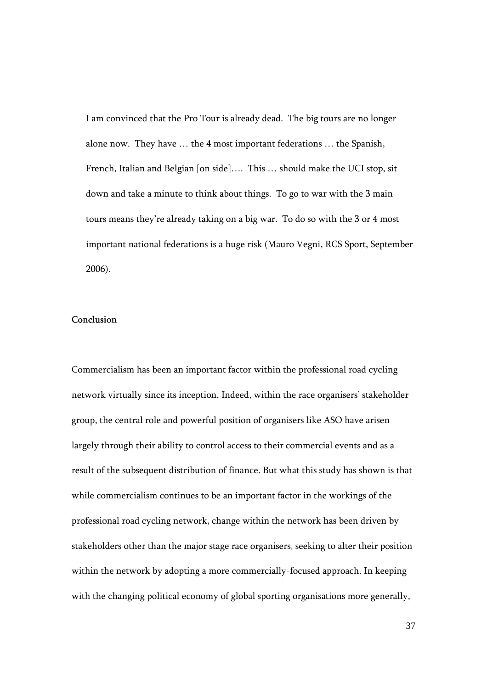I am convinced that the Pro Tour is already dead. The big tours are no longer alone now. They have … the 4 most important federations … the Spanish, French, Italian and Belgian [on side].... This ... should make the UCI stop, sit down and take a minute to think about things. To go to war with the 3 main tours means they're already taking on a big war. To do so with the 3 or 4 most important national federations is a huge risk (Mauro Vegni, RCS Sport, September 2006).

## Conclusion

Commercialism has been an important factor within the professional road cycling network virtually since its inception. Indeed, within the race organisers' stakeholder group, the central role and powerful position of organisers like ASO have arisen largely through their ability to control access to their commercial events and as a result of the subsequent distribution of finance. But what this study has shown is that while commercialism continues to be an important factor in the workings of the professional road cycling network, change within the network has been driven by stakeholders other than the major stage race organisers, seeking to alter their position within the network by adopting a more commercially-focused approach. In keeping with the changing political economy of global sporting organisations more generally,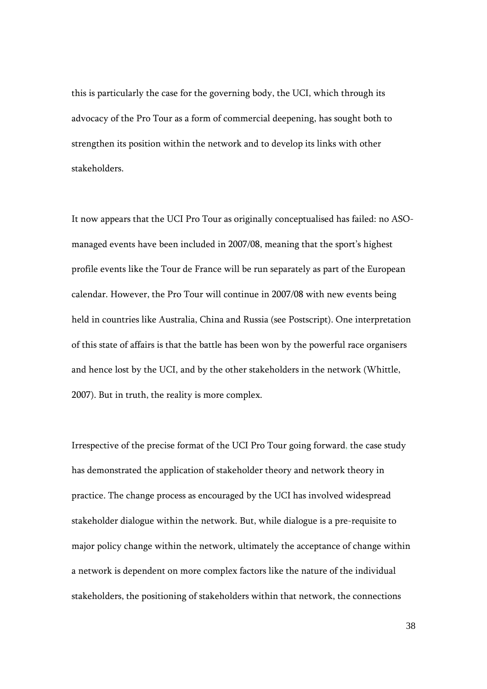this is particularly the case for the governing body, the UCI, which through its advocacy of the Pro Tour as a form of commercial deepening, has sought both to strengthen its position within the network and to develop its links with other stakeholders.

It now appears that the UCI Pro Tour as originally conceptualised has failed: no ASOmanaged events have been included in 2007/08, meaning that the sport's highest profile events like the Tour de France will be run separately as part of the European calendar. However, the Pro Tour will continue in 2007/08 with new events being held in countries like Australia, China and Russia (see Postscript). One interpretation of this state of affairs is that the battle has been won by the powerful race organisers and hence lost by the UCI, and by the other stakeholders in the network (Whittle, 2007). But in truth, the reality is more complex.

Irrespective of the precise format of the UCI Pro Tour going forward, the case study has demonstrated the application of stakeholder theory and network theory in practice. The change process as encouraged by the UCI has involved widespread stakeholder dialogue within the network. But, while dialogue is a pre-requisite to major policy change within the network, ultimately the acceptance of change within a network is dependent on more complex factors like the nature of the individual stakeholders, the positioning of stakeholders within that network, the connections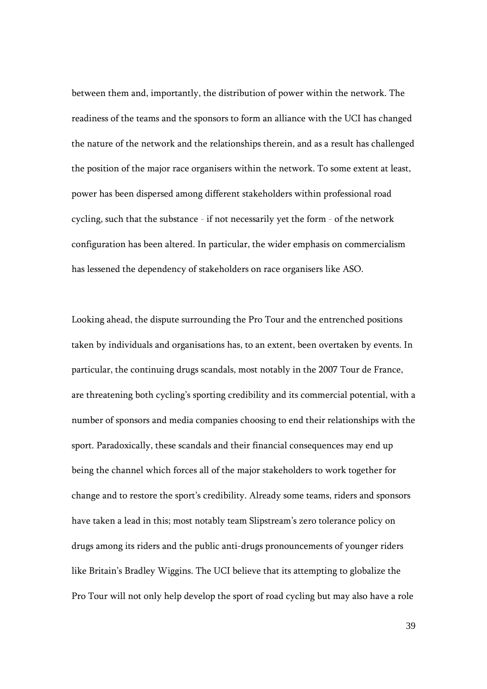between them and, importantly, the distribution of power within the network. The readiness of the teams and the sponsors to form an alliance with the UCI has changed the nature of the network and the relationships therein, and as a result has challenged the position of the major race organisers within the network. To some extent at least, power has been dispersed among different stakeholders within professional road cycling, such that the substance - if not necessarily yet the form - of the network configuration has been altered. In particular, the wider emphasis on commercialism has lessened the dependency of stakeholders on race organisers like ASO.

Looking ahead, the dispute surrounding the Pro Tour and the entrenched positions taken by individuals and organisations has, to an extent, been overtaken by events. In particular, the continuing drugs scandals, most notably in the 2007 Tour de France, are threatening both cycling's sporting credibility and its commercial potential, with a number of sponsors and media companies choosing to end their relationships with the sport. Paradoxically, these scandals and their financial consequences may end up being the channel which forces all of the major stakeholders to work together for change and to restore the sport's credibility. Already some teams, riders and sponsors have taken a lead in this; most notably team Slipstream's zero tolerance policy on drugs among its riders and the public anti-drugs pronouncements of younger riders like Britain's Bradley Wiggins. The UCI believe that its attempting to globalize the Pro Tour will not only help develop the sport of road cycling but may also have a role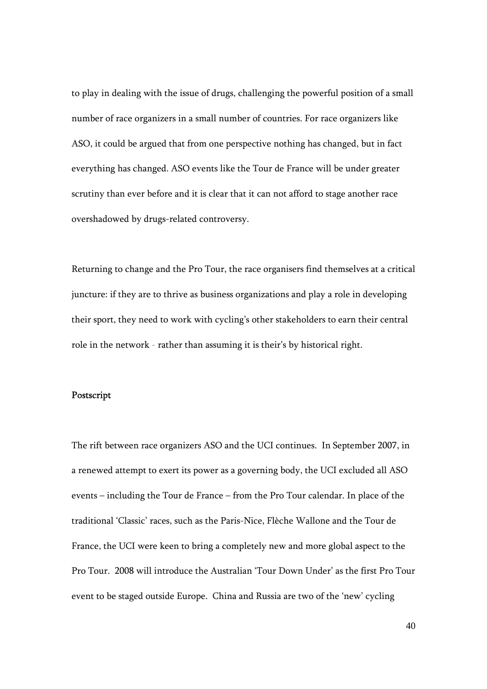to play in dealing with the issue of drugs, challenging the powerful position of a small number of race organizers in a small number of countries. For race organizers like ASO, it could be argued that from one perspective nothing has changed, but in fact everything has changed. ASO events like the Tour de France will be under greater scrutiny than ever before and it is clear that it can not afford to stage another race overshadowed by drugs-related controversy.

Returning to change and the Pro Tour, the race organisers find themselves at a critical juncture: if they are to thrive as business organizations and play a role in developing their sport, they need to work with cycling's other stakeholders to earn their central role in the network - rather than assuming it is their's by historical right.

#### Postscript

The rift between race organizers ASO and the UCI continues. In September 2007, in a renewed attempt to exert its power as a governing body, the UCI excluded all ASO events – including the Tour de France – from the Pro Tour calendar. In place of the traditional 'Classic' races, such as the Paris-Nice, Flèche Wallone and the Tour de France, the UCI were keen to bring a completely new and more global aspect to the Pro Tour. 2008 will introduce the Australian 'Tour Down Under' as the first Pro Tour event to be staged outside Europe. China and Russia are two of the 'new' cycling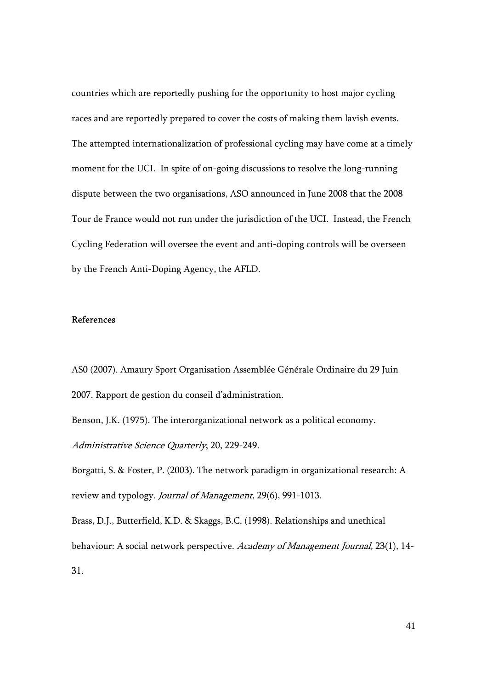countries which are reportedly pushing for the opportunity to host major cycling races and are reportedly prepared to cover the costs of making them lavish events. The attempted internationalization of professional cycling may have come at a timely moment for the UCI. In spite of on-going discussions to resolve the long-running dispute between the two organisations, ASO announced in June 2008 that the 2008 Tour de France would not run under the jurisdiction of the UCI. Instead, the French Cycling Federation will oversee the event and anti-doping controls will be overseen by the French Anti-Doping Agency, the AFLD.

## References

AS0 (2007). Amaury Sport Organisation Assemblée Générale Ordinaire du 29 Juin 2007. Rapport de gestion du conseil d'administration.

Benson, J.K. (1975). The interorganizational network as a political economy. Administrative Science Quarterly, 20, 229-249.

Borgatti, S. & Foster, P. (2003). The network paradigm in organizational research: A review and typology. Journal of Management, 29(6), 991-1013.

Brass, D.J., Butterfield, K.D. & Skaggs, B.C. (1998). Relationships and unethical behaviour: A social network perspective. Academy of Management Journal, 23(1), 14-31.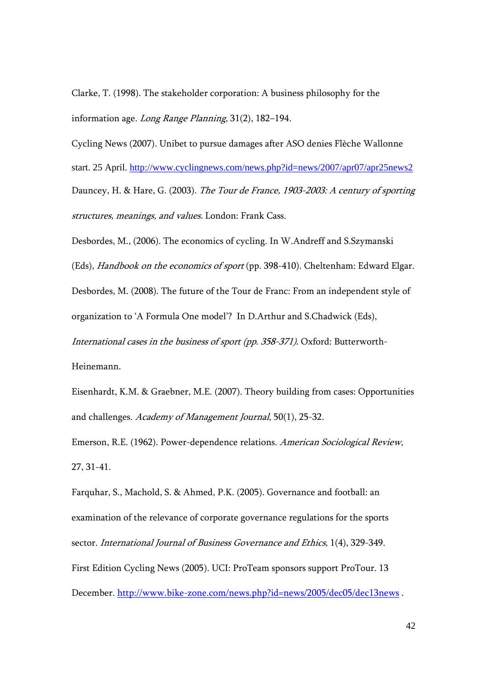Clarke, T. (1998). The stakeholder corporation: A business philosophy for the information age. Long Range Planning, 31(2), 182–194.

Cycling News (2007). Unibet to pursue damages after ASO denies Flèche Wallonne start. 25 April. http://www.cyclingnews.com/news.php?id=news/2007/apr07/apr25news2 Dauncey, H. & Hare, G. (2003). The Tour de France, 1903-2003: A century of sporting structures, meanings, and values. London: Frank Cass.

Desbordes, M., (2006). The economics of cycling. In W.Andreff and S.Szymanski (Eds), Handbook on the economics of sport (pp. 398-410). Cheltenham: Edward Elgar. Desbordes, M. (2008). The future of the Tour de Franc: From an independent style of organization to 'A Formula One model'? In D.Arthur and S.Chadwick (Eds), International cases in the business of sport (pp. 358-371). Oxford: Butterworth-Heinemann.

Eisenhardt, K.M. & Graebner, M.E. (2007). Theory building from cases: Opportunities and challenges. Academy of Management Journal, 50(1), 25-32.

Emerson, R.E. (1962). Power-dependence relations. American Sociological Review, 27, 31-41.

Farquhar, S., Machold, S. & Ahmed, P.K. (2005). Governance and football: an examination of the relevance of corporate governance regulations for the sports sector. International Journal of Business Governance and Ethics, 1(4), 329-349. First Edition Cycling News (2005). UCI: ProTeam sponsors support ProTour. 13 December. http://www.bike-zone.com/news.php?id=news/2005/dec05/dec13news .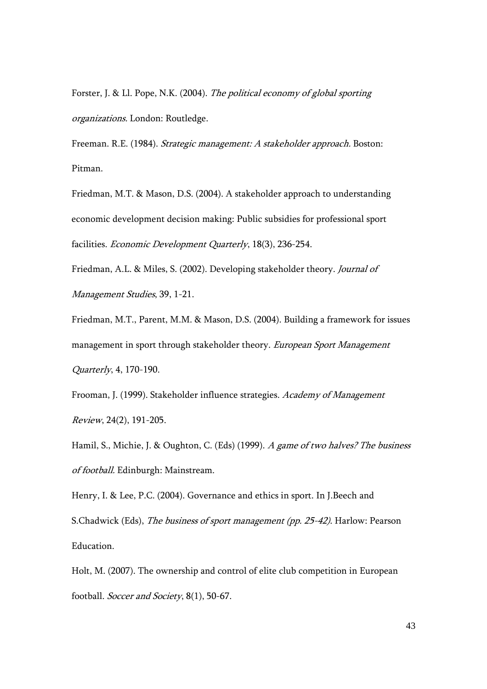Forster, J. & Ll. Pope, N.K. (2004). The political economy of global sporting organizations. London: Routledge.

Freeman. R.E. (1984). Strategic management: A stakeholder approach. Boston: Pitman.

Friedman, M.T. & Mason, D.S. (2004). A stakeholder approach to understanding economic development decision making: Public subsidies for professional sport facilities. Economic Development Quarterly, 18(3), 236-254.

Friedman, A.L. & Miles, S. (2002). Developing stakeholder theory. Journal of Management Studies, 39, 1-21.

Friedman, M.T., Parent, M.M. & Mason, D.S. (2004). Building a framework for issues management in sport through stakeholder theory. European Sport Management Quarterly, 4, 170-190.

Frooman, J. (1999). Stakeholder influence strategies. Academy of Management Review, 24(2), 191-205.

Hamil, S., Michie, J. & Oughton, C. (Eds) (1999). A game of two halves? The business of football. Edinburgh: Mainstream.

Henry, I. & Lee, P.C. (2004). Governance and ethics in sport. In J.Beech and S.Chadwick (Eds), The business of sport management (pp. 25-42). Harlow: Pearson Education.

Holt, M. (2007). The ownership and control of elite club competition in European football. Soccer and Society, 8(1), 50-67.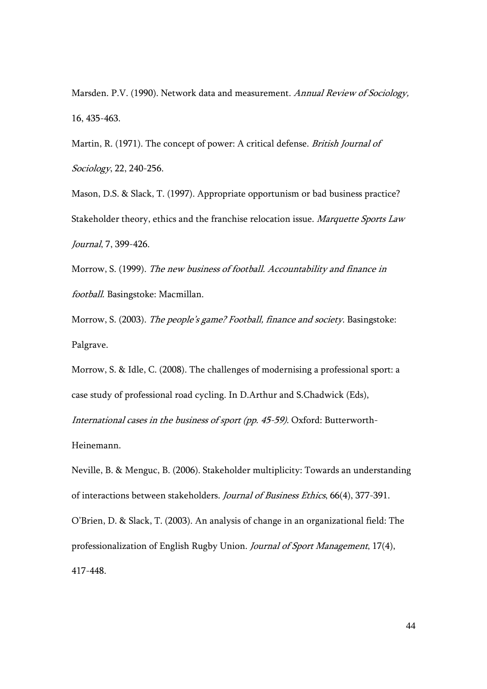Marsden. P.V. (1990). Network data and measurement. Annual Review of Sociology, 16, 435-463.

Martin, R. (1971). The concept of power: A critical defense. British Journal of Sociology, 22, 240-256.

Mason, D.S. & Slack, T. (1997). Appropriate opportunism or bad business practice? Stakeholder theory, ethics and the franchise relocation issue. Marquette Sports Law Journal, 7, 399-426.

Morrow, S. (1999). The new business of football. Accountability and finance in football. Basingstoke: Macmillan.

Morrow, S. (2003). The people's game? Football, finance and society. Basingstoke: Palgrave.

Morrow, S. & Idle, C. (2008). The challenges of modernising a professional sport: a case study of professional road cycling. In D.Arthur and S.Chadwick (Eds), International cases in the business of sport (pp. 45-59). Oxford: Butterworth-Heinemann.

Neville, B. & Menguc, B. (2006). Stakeholder multiplicity: Towards an understanding of interactions between stakeholders. Journal of Business Ethics, 66(4), 377-391. O'Brien, D. & Slack, T. (2003). An analysis of change in an organizational field: The professionalization of English Rugby Union. Journal of Sport Management, 17(4), 417-448.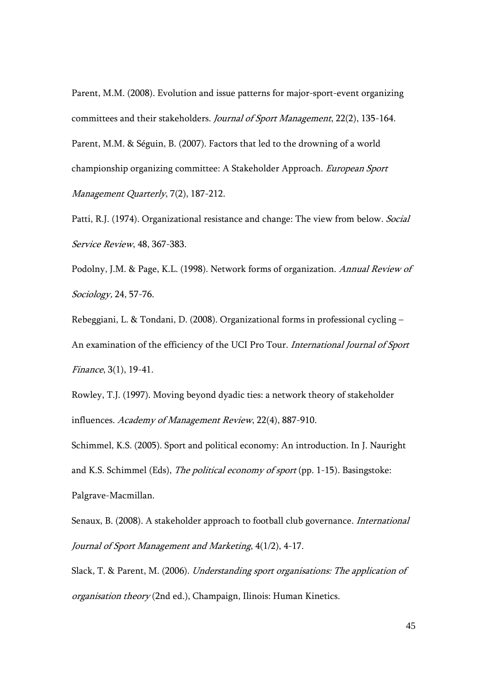Parent, M.M. (2008). Evolution and issue patterns for major-sport-event organizing committees and their stakeholders. Journal of Sport Management, 22(2), 135-164. Parent, M.M. & Séguin, B. (2007). Factors that led to the drowning of a world championship organizing committee: A Stakeholder Approach. European Sport Management Quarterly, 7(2), 187-212.

Patti, R.J. (1974). Organizational resistance and change: The view from below. Social Service Review, 48, 367-383.

Podolny, J.M. & Page, K.L. (1998). Network forms of organization. Annual Review of Sociology, 24, 57-76.

Rebeggiani, L. & Tondani, D. (2008). Organizational forms in professional cycling – An examination of the efficiency of the UCI Pro Tour. International Journal of Sport Finance, 3(1), 19-41.

Rowley, T.J. (1997). Moving beyond dyadic ties: a network theory of stakeholder influences. Academy of Management Review, 22(4), 887-910.

Schimmel, K.S. (2005). Sport and political economy: An introduction. In J. Nauright and K.S. Schimmel (Eds), The political economy of sport (pp. 1-15). Basingstoke: Palgrave-Macmillan.

Senaux, B. (2008). A stakeholder approach to football club governance. International Journal of Sport Management and Marketing, 4(1/2), 4-17.

Slack, T. & Parent, M. (2006). Understanding sport organisations: The application of organisation theory (2nd ed.), Champaign, Ilinois: Human Kinetics.